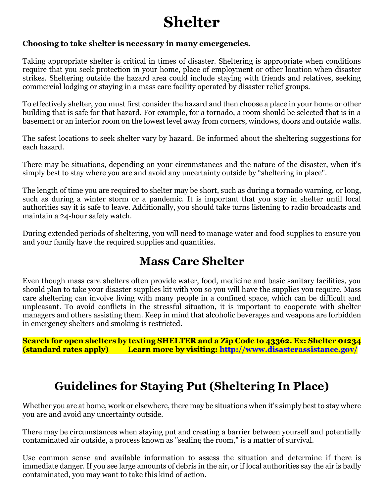## **Shelter**

## **Choosing to take shelter is necessary in many emergencies.**

Taking appropriate shelter is critical in times of disaster. Sheltering is appropriate when conditions require that you seek protection in your home, place of employment or other location when disaster strikes. Sheltering outside the hazard area could include staying with friends and relatives, seeking commercial lodging or staying in a mass care facility operated by disaster relief groups.

To effectively shelter, you must first consider the hazard and then choose a place in your home or other building that is safe for that hazard. For example, for a tornado, a room should be selected that is in a basement or an interior room on the lowest level away from corners, windows, doors and outside walls.

The safest locations to seek shelter vary by hazard. [Be informed](https://www.ready.gov/be-informed) about the sheltering suggestions for each hazard.

There may be situations, depending on your circumstances and the nature of the disaster, when it's simply best to stay where you are and avoid any uncertainty outside by "sheltering in place".

The length of time you are required to shelter may be short, such as during a tornado warning, or long, such as during a winter storm or a pandemic. It is important that you stay in shelter until local authorities say it is safe to leave. Additionally, you should take turns listening to radio broadcasts and maintain a 24-hour safety watch.

During extended periods of sheltering, you will need to manage water and food supplies to ensure you and your family have the required supplies and quantities.

## **Mass Care Shelter**

Even though mass care shelters often provide water, food, medicine and basic sanitary facilities, you should plan to take your disaster supplies kit with you so you will have the supplies you require. Mass care sheltering can involve living with many people in a confined space, which can be difficult and unpleasant. To avoid conflicts in the stressful situation, it is important to cooperate with shelter managers and others assisting them. Keep in mind that alcoholic beverages and weapons are forbidden in emergency shelters and smoking is restricted.

**Search for open shelters by texting SHELTER and a Zip Code to 43362. Ex: Shelter 01234 (standard rates apply) Learn more by visiting:<http://www.disasterassistance.gov/>**

## **Guidelines for Staying Put (Sheltering In Place)**

Whether you are at home, work or elsewhere, there may be situations when it's simply best to stay where you are and avoid any uncertainty outside.

There may be circumstances when staying put and creating a barrier between yourself and potentially contaminated air outside, a process known as "sealing the room," is a matter of survival.

Use common sense and available information to assess the situation and determine if there is immediate danger. If you see large amounts of debris in the air, or if local authorities say the air is badly contaminated, you may want to take this kind of action.